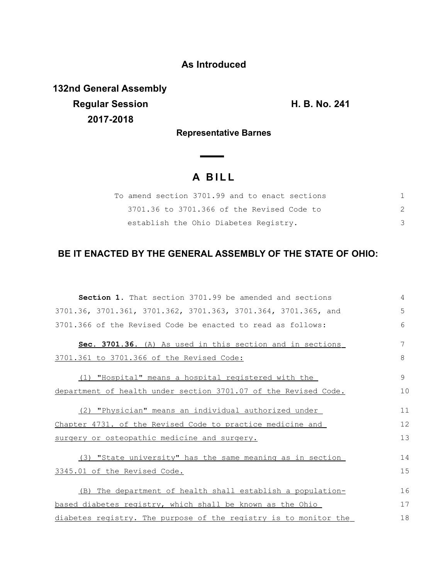## **As Introduced**

**132nd General Assembly Regular Session H. B. No. 241 2017-2018**

**Representative Barnes**

## **A B I L L**

 $\overline{\phantom{a}}$ 

| To amend section 3701.99 and to enact sections |  |
|------------------------------------------------|--|
| 3701.36 to 3701.366 of the Revised Code to     |  |
| establish the Ohio Diabetes Registry.          |  |

## **BE IT ENACTED BY THE GENERAL ASSEMBLY OF THE STATE OF OHIO:**

| <b>Section 1.</b> That section 3701.99 be amended and sections   | 4  |
|------------------------------------------------------------------|----|
| 3701.36, 3701.361, 3701.362, 3701.363, 3701.364, 3701.365, and   | 5  |
| 3701.366 of the Revised Code be enacted to read as follows:      | 6  |
| Sec. 3701.36. (A) As used in this section and in sections        | 7  |
| 3701.361 to 3701.366 of the Revised Code:                        | 8  |
| (1) "Hospital" means a hospital registered with the              | 9  |
| department of health under section 3701.07 of the Revised Code.  | 10 |
| (2) "Physician" means an individual authorized under             | 11 |
| Chapter 4731. of the Revised Code to practice medicine and       | 12 |
| surgery or osteopathic medicine and surgery.                     | 13 |
| (3) "State university" has the same meaning as in section        | 14 |
| 3345.01 of the Revised Code.                                     | 15 |
| (B) The department of health shall establish a population-       | 16 |
| based diabetes registry, which shall be known as the Ohio        | 17 |
| diabetes registry. The purpose of the registry is to monitor the | 18 |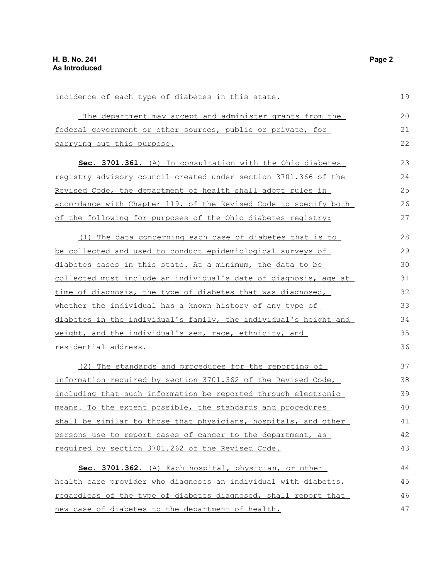| incidence of each type of diabetes in this state.                   | 19 |
|---------------------------------------------------------------------|----|
| The department may accept and administer grants from the            | 20 |
| federal government or other sources, public or private, for         | 21 |
| carrying out this purpose.                                          | 22 |
| Sec. 3701.361. (A) In consultation with the Ohio diabetes           | 23 |
| registry advisory council created under section 3701.366 of the     | 24 |
| Revised Code, the department of health shall adopt rules in         | 25 |
| accordance with Chapter 119. of the Revised Code to specify both    | 26 |
| of the following for purposes of the Ohio diabetes registry:        | 27 |
| (1) The data concerning each case of diabetes that is to            | 28 |
| <u>be collected and used to conduct epidemiological surveys of </u> | 29 |
| diabetes cases in this state. At a minimum, the data to be          | 30 |
| collected must include an individual's date of diagnosis, age at    | 31 |
| time of diagnosis, the type of diabetes that was diagnosed,         | 32 |
| whether the individual has a known history of any type of           | 33 |
| diabetes in the individual's family, the individual's height and    | 34 |
| weight, and the individual's sex, race, ethnicity, and              | 35 |
| <u>residential address.</u>                                         | 36 |
| (2) The standards and procedures for the reporting of               | 37 |
| information required by section 3701.362 of the Revised Code,       | 38 |
| including that such information be reported through electronic      | 39 |
| means. To the extent possible, the standards and procedures         | 40 |
| shall be similar to those that physicians, hospitals, and other     | 41 |
| persons use to report cases of cancer to the department, as         | 42 |
| required by section 3701.262 of the Revised Code.                   | 43 |
| Sec. 3701.362. (A) Each hospital, physician, or other               | 44 |
| health care provider who diagnoses an individual with diabetes,     | 45 |
| regardless of the type of diabetes diagnosed, shall report that     | 46 |
| new case of diabetes to the department of health.                   | 47 |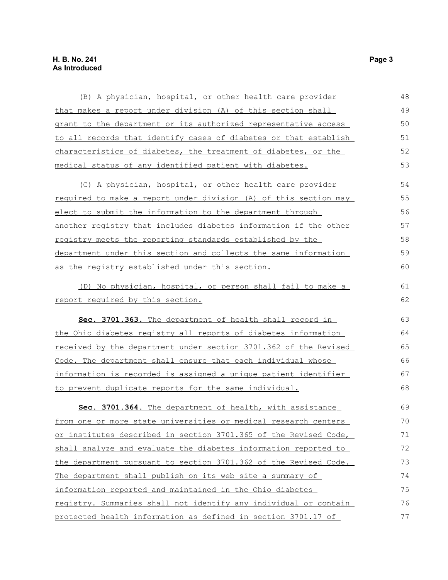| (B) A physician, hospital, or other health care provider         | 48 |
|------------------------------------------------------------------|----|
| that makes a report under division (A) of this section shall     | 49 |
| grant to the department or its authorized representative access  | 50 |
| to all records that identify cases of diabetes or that establish | 51 |
| characteristics of diabetes, the treatment of diabetes, or the   | 52 |
| medical status of any identified patient with diabetes.          | 53 |
| (C) A physician, hospital, or other health care provider         | 54 |
| required to make a report under division (A) of this section may | 55 |
| elect to submit the information to the department through        | 56 |
| another registry that includes diabetes information if the other | 57 |
| registry meets the reporting standards established by the        | 58 |
| department under this section and collects the same information  | 59 |
| as the registry established under this section.                  | 60 |
| (D) No physician, hospital, or person shall fail to make a       | 61 |
| report required by this section.                                 | 62 |
| Sec. 3701.363. The department of health shall record in          | 63 |
| the Ohio diabetes registry all reports of diabetes information   | 64 |
| received by the department under section 3701.362 of the Revised | 65 |
| Code. The department shall ensure that each individual whose     | 66 |
| information is recorded is assigned a unique patient identifier  | 67 |
| to prevent duplicate reports for the same individual.            | 68 |
| Sec. 3701.364. The department of health, with assistance         | 69 |
| from one or more state universities or medical research centers  | 70 |
| or institutes described in section 3701.365 of the Revised Code, | 71 |
| shall analyze and evaluate the diabetes information reported to  | 72 |
| the department pursuant to section 3701.362 of the Revised Code. | 73 |
| The department shall publish on its web site a summary of        | 74 |
| information reported and maintained in the Ohio diabetes         | 75 |
| registry. Summaries shall not identify any individual or contain | 76 |
| protected health information as defined in section 3701.17 of    | 77 |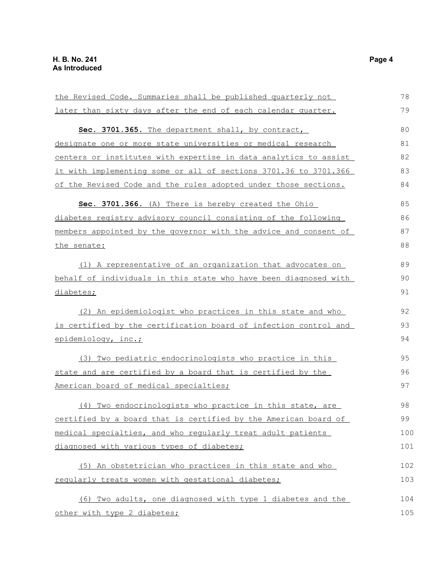| the Revised Code. Summaries shall be published quarterly not     |     |
|------------------------------------------------------------------|-----|
| later than sixty days after the end of each calendar quarter.    | 79  |
| Sec. 3701.365. The department shall, by contract,                | 80  |
| designate one or more state universities or medical research     | 81  |
| centers or institutes with expertise in data analytics to assist | 82  |
| it with implementing some or all of sections 3701.36 to 3701.366 | 83  |
| of the Revised Code and the rules adopted under those sections.  | 84  |
| Sec. 3701.366. (A) There is hereby created the Ohio              | 85  |
| diabetes registry advisory council consisting of the following   | 86  |
| members appointed by the governor with the advice and consent of | 87  |
| the senate:                                                      | 88  |
| (1) A representative of an organization that advocates on        | 89  |
| behalf of individuals in this state who have been diagnosed with | 90  |
| diabetes;                                                        | 91  |
| (2) An epidemiologist who practices in this state and who        | 92  |
| is certified by the certification board of infection control and | 93  |
| epidemiology, inc.;                                              | 94  |
| (3) Two pediatric endocrinologists who practice in this          | 95  |
| state and are certified by a board that is certified by the      | 96  |
| American board of medical specialties;                           | 97  |
| (4) Two endocrinologists who practice in this state, are         | 98  |
| certified by a board that is certified by the American board of  | 99  |
| medical specialties, and who regularly treat adult patients      | 100 |
| diagnosed with various types of diabetes;                        | 101 |
| (5) An obstetrician who practices in this state and who          | 102 |
| regularly treats women with gestational diabetes;                | 103 |
| (6) Two adults, one diagnosed with type 1 diabetes and the       | 104 |
| other with type 2 diabetes;                                      | 105 |